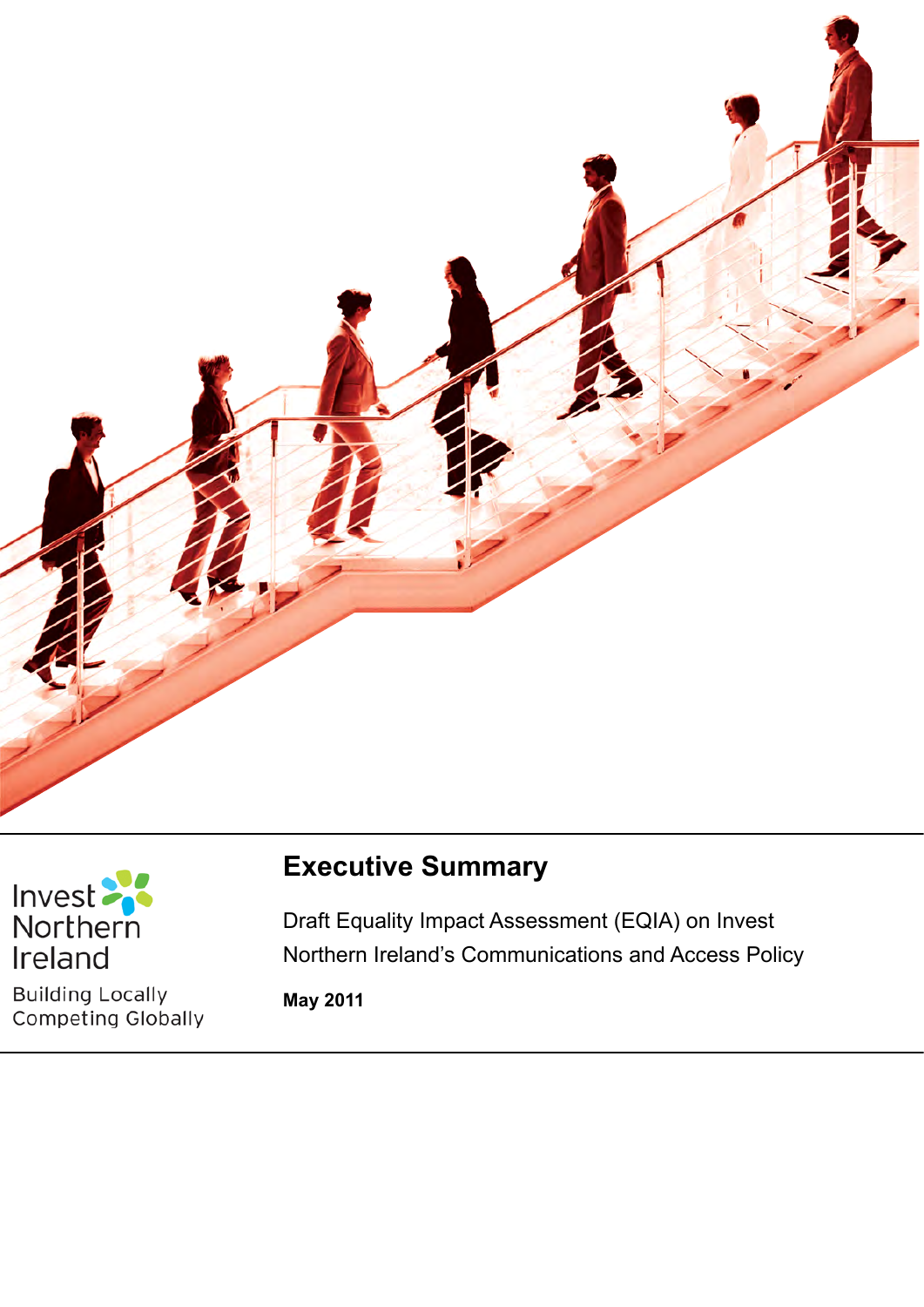



**Building Locally** Competing Globally

# **Executive Summary**

Section 75 of the Northern Ireland Act 1998

Draft Equality Impact Assessment (EQIA) on Invest Northern Ireland's Communications and Access Policy

**May 2011**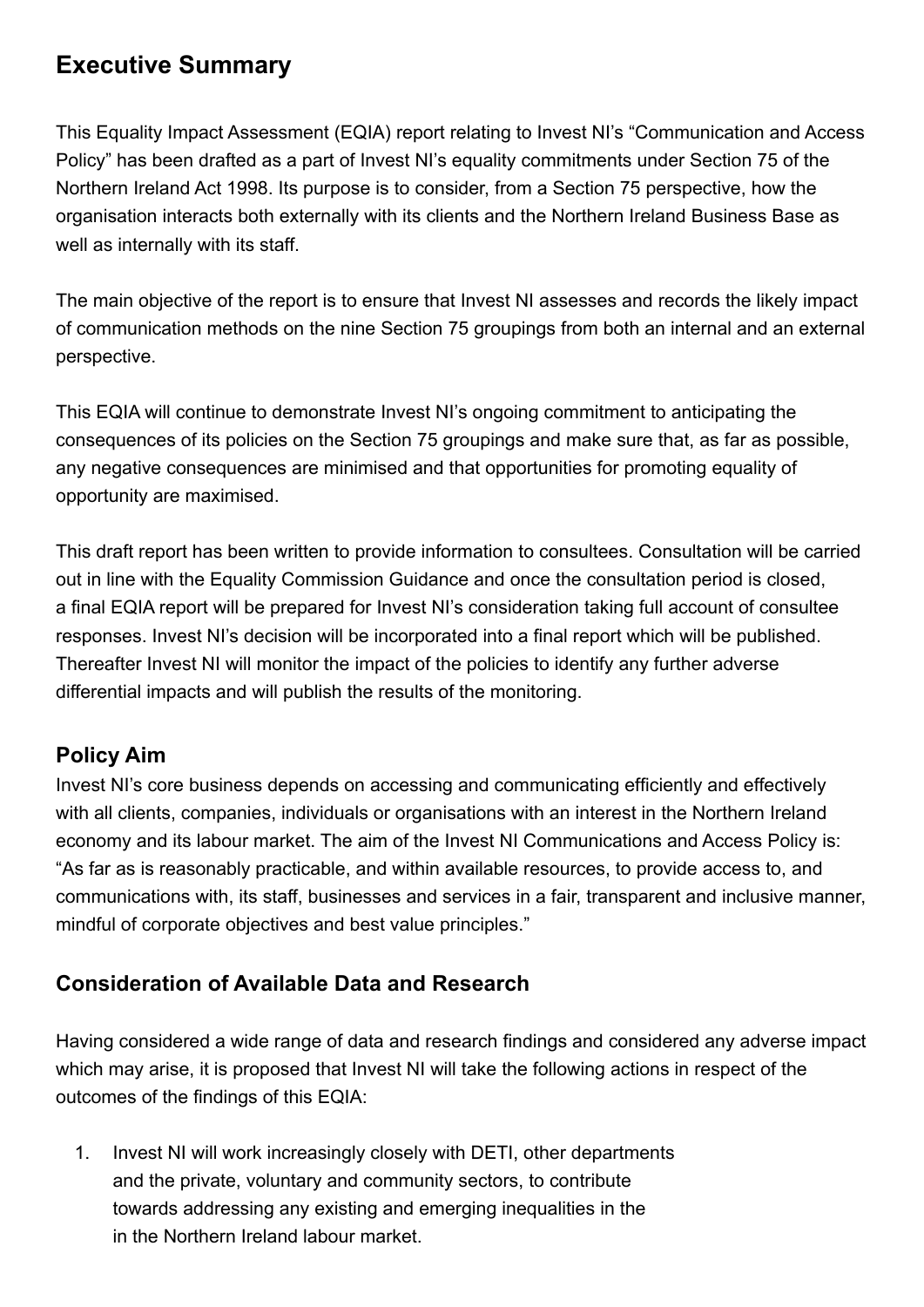## **Executive Summary**

This Equality Impact Assessment (EQIA) report relating to Invest NI's "Communication and Access Policy" has been drafted as a part of Invest NI's equality commitments under Section 75 of the Northern Ireland Act 1998. Its purpose is to consider, from a Section 75 perspective, how the organisation interacts both externally with its clients and the Northern Ireland Business Base as well as internally with its staff.

The main objective of the report is to ensure that Invest NI assesses and records the likely impact of communication methods on the nine Section 75 groupings from both an internal and an external perspective.

This EQIA will continue to demonstrate Invest NI's ongoing commitment to anticipating the consequences of its policies on the Section 75 groupings and make sure that, as far as possible, any negative consequences are minimised and that opportunities for promoting equality of opportunity are maximised.

This draft report has been written to provide information to consultees. Consultation will be carried out in line with the Equality Commission Guidance and once the consultation period is closed, a final EQIA report will be prepared for Invest NI's consideration taking full account of consultee responses. Invest NI's decision will be incorporated into a final report which will be published. Thereafter Invest NI will monitor the impact of the policies to identify any further adverse differential impacts and will publish the results of the monitoring.

## **Policy Aim**

Invest NI's core business depends on accessing and communicating efficiently and effectively with all clients, companies, individuals or organisations with an interest in the Northern Ireland economy and its labour market. The aim of the Invest NI Communications and Access Policy is: "As far as is reasonably practicable, and within available resources, to provide access to, and communications with, its staff, businesses and services in a fair, transparent and inclusive manner, mindful of corporate objectives and best value principles."

## **Consideration of Available Data and Research**

Having considered a wide range of data and research findings and considered any adverse impact which may arise, it is proposed that Invest NI will take the following actions in respect of the outcomes of the findings of this EQIA:

1. Invest NI will work increasingly closely with DETI, other departments and the private, voluntary and community sectors, to contribute towards addressing any existing and emerging inequalities in the in the Northern Ireland labour market.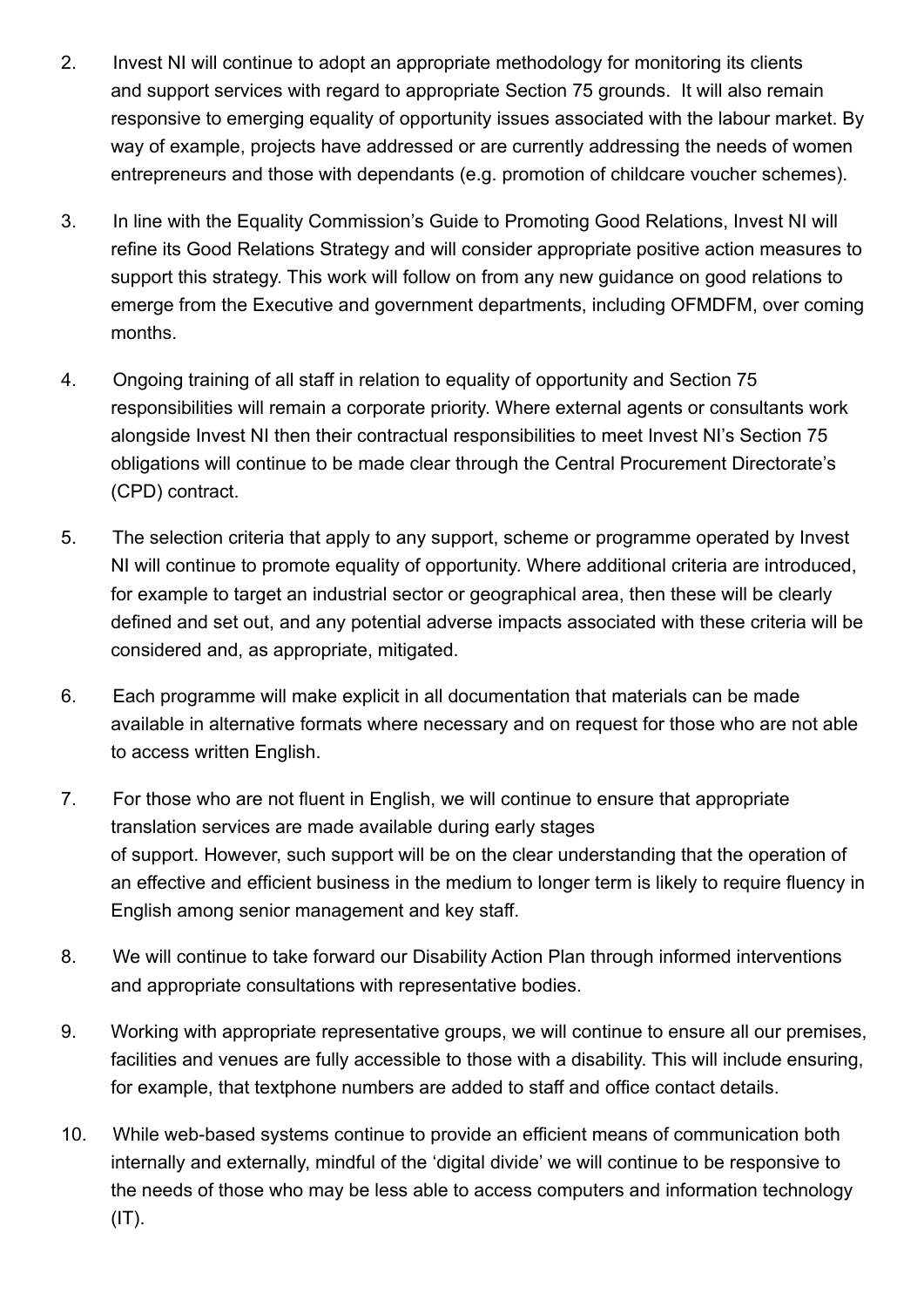- 2. Invest NI will continue to adopt an appropriate methodology for monitoring its clients and support services with regard to appropriate Section 75 grounds. It will also remain responsive to emerging equality of opportunity issues associated with the labour market. By way of example, projects have addressed or are currently addressing the needs of women entrepreneurs and those with dependants (e.g. promotion of childcare voucher schemes).
- 3. In line with the Equality Commission's Guide to Promoting Good Relations, Invest NI will refine its Good Relations Strategy and will consider appropriate positive action measures to support this strategy. This work will follow on from any new guidance on good relations to emerge from the Executive and government departments, including OFMDFM, over coming months.
- 4. Ongoing training of all staff in relation to equality of opportunity and Section 75 responsibilities will remain a corporate priority. Where external agents or consultants work alongside Invest NI then their contractual responsibilities to meet Invest NI's Section 75 obligations will continue to be made clear through the Central Procurement Directorate's (CPD) contract.
- 5. The selection criteria that apply to any support, scheme or programme operated by Invest NI will continue to promote equality of opportunity. Where additional criteria are introduced, for example to target an industrial sector or geographical area, then these will be clearly defined and set out, and any potential adverse impacts associated with these criteria will be considered and, as appropriate, mitigated.
- 6. Each programme will make explicit in all documentation that materials can be made available in alternative formats where necessary and on request for those who are not able to access written English.
- 7. For those who are not fluent in English, we will continue to ensure that appropriate translation services are made available during early stages of support. However, such support will be on the clear understanding that the operation of an effective and efficient business in the medium to longer term is likely to require fluency in English among senior management and key staff.
- 8. We will continue to take forward our Disability Action Plan through informed interventions and appropriate consultations with representative bodies.
- 9. Working with appropriate representative groups, we will continue to ensure all our premises, facilities and venues are fully accessible to those with a disability. This will include ensuring, for example, that textphone numbers are added to staff and office contact details.
- 10. While web-based systems continue to provide an efficient means of communication both internally and externally, mindful of the 'digital divide' we will continue to be responsive to the needs of those who may be less able to access computers and information technology  $(IT).$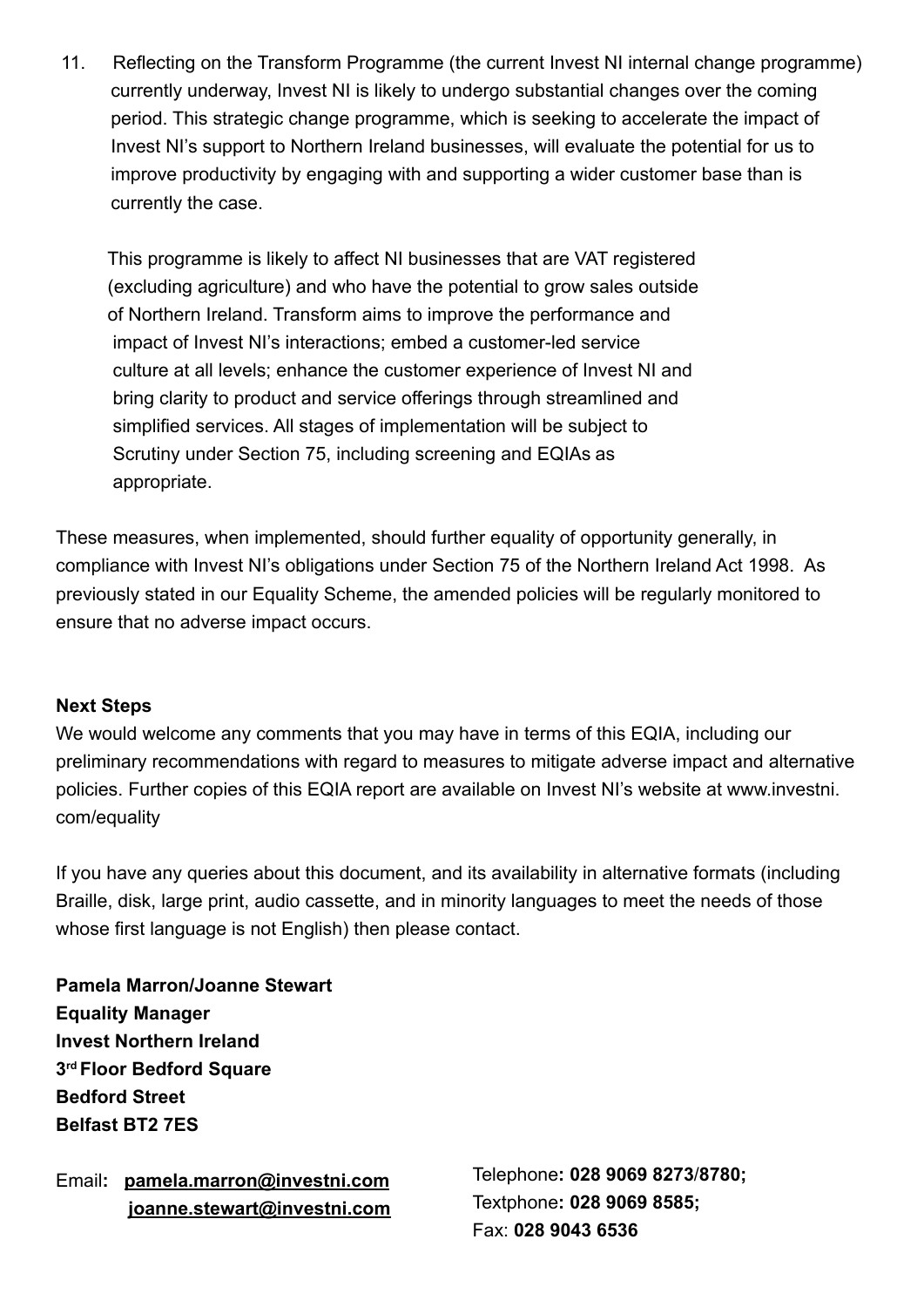11. Reflecting on the Transform Programme (the current Invest NI internal change programme) currently underway, Invest NI is likely to undergo substantial changes over the coming period. This strategic change programme, which is seeking to accelerate the impact of Invest NI's support to Northern Ireland businesses, will evaluate the potential for us to improve productivity by engaging with and supporting a wider customer base than is currently the case.

 This programme is likely to affect NI businesses that are VAT registered (excluding agriculture) and who have the potential to grow sales outside of Northern Ireland. Transform aims to improve the performance and impact of Invest NI's interactions; embed a customer-led service culture at all levels; enhance the customer experience of Invest NI and bring clarity to product and service offerings through streamlined and simplified services. All stages of implementation will be subject to Scrutiny under Section 75, including screening and EQIAs as appropriate.

These measures, when implemented, should further equality of opportunity generally, in compliance with Invest NI's obligations under Section 75 of the Northern Ireland Act 1998. As previously stated in our Equality Scheme, the amended policies will be regularly monitored to ensure that no adverse impact occurs.

#### **Next Steps**

We would welcome any comments that you may have in terms of this EQIA, including our preliminary recommendations with regard to measures to mitigate adverse impact and alternative policies. Further copies of this EQIA report are available on Invest NI's website at www.investni. com/equality

If you have any queries about this document, and its availability in alternative formats (including Braille, disk, large print, audio cassette, and in minority languages to meet the needs of those whose first language is not English) then please contact.

**Pamela Marron/Joanne Stewart Equality Manager Invest Northern Ireland 3rd Floor Bedford Square Bedford Street Belfast BT2 7ES**

Email**: [pamela.marron@investni.com](mailto:pamela.marron@investni.com) joanne.stewart@investni.com** Telephone**: 028 9069 8273**/**8780;** Textphone**: 028 9069 8585;**  Fax: **028 9043 6536**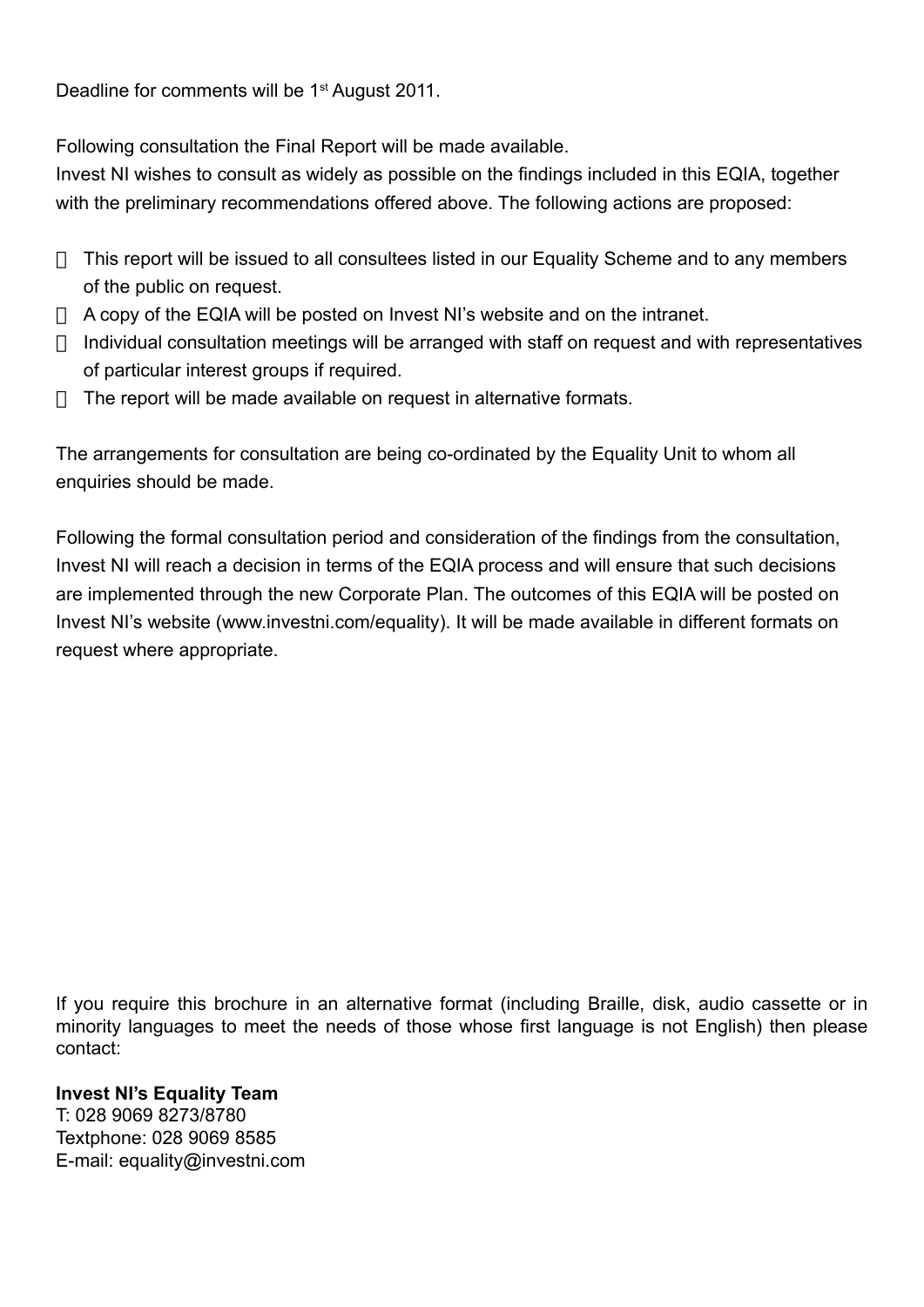Deadline for comments will be 1<sup>st</sup> August 2011.

Following consultation the Final Report will be made available.

Invest NI wishes to consult as widely as possible on the findings included in this EQIA, together with the preliminary recommendations offered above. The following actions are proposed:

- $\Box$  This report will be issued to all consultees listed in our Equality Scheme and to any members of the public on request.
- $\Box$  A copy of the EQIA will be posted on Invest NI's website and on the intranet.
- $\Box$  Individual consultation meetings will be arranged with staff on request and with representatives of particular interest groups if required.
- $\Box$  The report will be made available on request in alternative formats.

The arrangements for consultation are being co-ordinated by the Equality Unit to whom all enquiries should be made.

Following the formal consultation period and consideration of the findings from the consultation, Invest NI will reach a decision in terms of the EQIA process and will ensure that such decisions are implemented through the new Corporate Plan. The outcomes of this EQIA will be posted on Invest NI's website (www.investni.com/equality). It will be made available in different formats on request where appropriate.

If you require this brochure in an alternative format (including Braille, disk, audio cassette or in minority languages to meet the needs of those whose first language is not English) then please contact:

#### **Invest NI's Equality Team**

T: 028 9069 8273/8780 Textphone: 028 9069 8585 E-mail: equality@investni.com